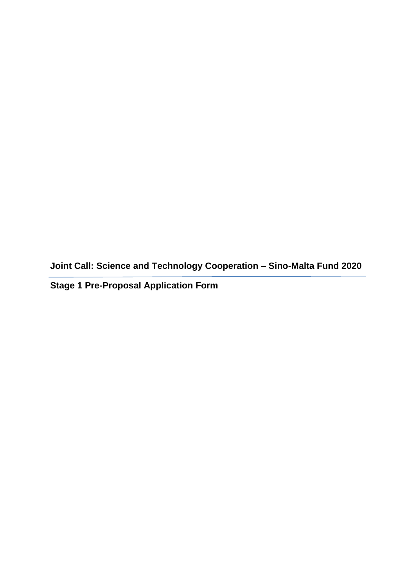**Stage 1 Pre-Proposal Application Form**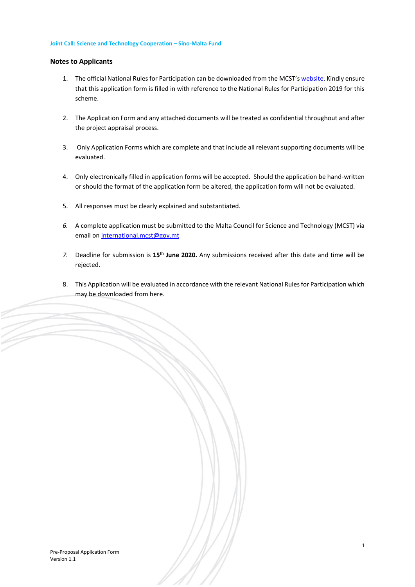#### **Notes to Applicants**

- 1. The official National Rules for Participation can be downloaded from the MCST's [website.](https://mcst.gov.mt/funding-opportunities/) Kindly ensure that this application form is filled in with reference to the National Rules for Participation 2019 for this scheme.
- 2. The Application Form and any attached documents will be treated as confidential throughout and after the project appraisal process.
- 3. Only Application Forms which are complete and that include all relevant supporting documents will be evaluated.
- 4. Only electronically filled in application forms will be accepted. Should the application be hand-written or should the format of the application form be altered, the application form will not be evaluated.
- 5. All responses must be clearly explained and substantiated.
- *6.* A complete application must be submitted to the Malta Council for Science and Technology (MCST) via email on [international.mcst@gov.mt](mailto:international.mcst@gov.mt)
- *7.* Deadline for submission is **15th June 2020.** Any submissions received after this date and time will be rejected.
- 8. This Application will be evaluated in accordance with the relevant National Rules for Participation which may be downloaded from here.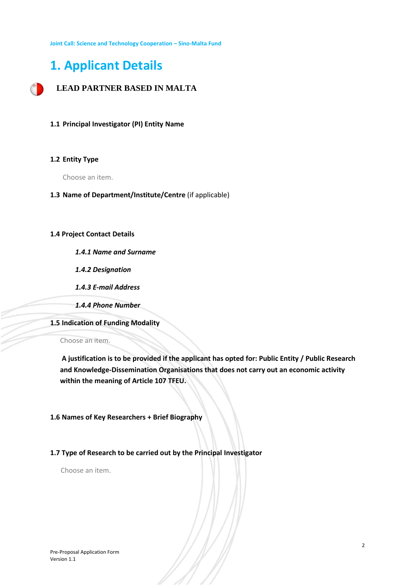# **1. Applicant Details**



**LEAD PARTNER BASED IN MALTA** 

### **1.1 Principal Investigator (PI) Entity Name**

#### **1.2 Entity Type**

Choose an item.

### **1.3 Name of Department/Institute/Centre** (if applicable)

### **1.4 Project Contact Details**

*1.4.1 Name and Surname* 

*1.4.2 Designation*

*1.4.3 E-mail Address* 

*1.4.4 Phone Number* 

**1.5 Indication of Funding Modality** 

#### Choose an item.

**A justification is to be provided if the applicant has opted for: Public Entity / Public Research and Knowledge-Dissemination Organisations that does not carry out an economic activity within the meaning of Article 107 TFEU.**

**1.6 Names of Key Researchers + Brief Biography**

### **1.7 Type of Research to be carried out by the Principal Investigator**

Choose an item.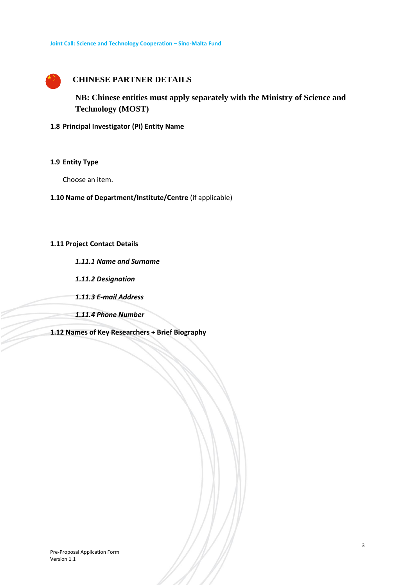## **CHINESE PARTNER DETAILS**

**NB: Chinese entities must apply separately with the Ministry of Science and Technology (MOST)**

**1.8 Principal Investigator (PI) Entity Name**

### **1.9 Entity Type**

Choose an item.

### **1.10 Name of Department/Institute/Centre** (if applicable)

**1.11 Project Contact Details**

*1.11.1 Name and Surname* 

*1.11.2 Designation*

*1.11.3 E-mail Address* 

*1.11.4 Phone Number* 

**1.12 Names of Key Researchers + Brief Biography**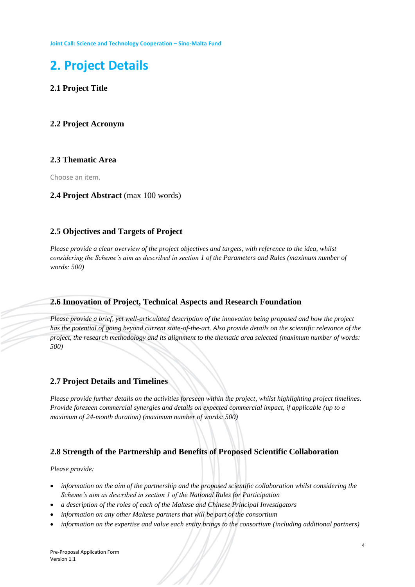# **2. Project Details**

**2.1 Project Title**

# **2.2 Project Acronym**

## **2.3 Thematic Area**

Choose an item.

### **2.4 Project Abstract** (max 100 words)

## **2.5 Objectives and Targets of Project**

*Please provide a clear overview of the project objectives and targets, with reference to the idea, whilst considering the Scheme's aim as described in section 1 of the Parameters and Rules (maximum number of words: 500)*

## **2.6 Innovation of Project, Technical Aspects and Research Foundation**

*Please provide a brief, yet well-articulated description of the innovation being proposed and how the project has the potential of going beyond current state-of-the-art. Also provide details on the scientific relevance of the project, the research methodology and its alignment to the thematic area selected (maximum number of words: 500)*

## **2.7 Project Details and Timelines**

*Please provide further details on the activities foreseen within the project, whilst highlighting project timelines. Provide foreseen commercial synergies and details on expected commercial impact, if applicable (up to a maximum of 24-month duration) (maximum number of words: 500)*

## **2.8 Strength of the Partnership and Benefits of Proposed Scientific Collaboration**

*Please provide:*

- *information on the aim of the partnership and the proposed scientific collaboration whilst considering the Scheme's aim as described in section 1 of the National Rules for Participation*
- *a description of the roles of each of the Maltese and Chinese Principal Investigators*
- *information on any other Maltese partners that will be part of the consortium*
- *information on the expertise and value each entity brings to the consortium (including additional partners)*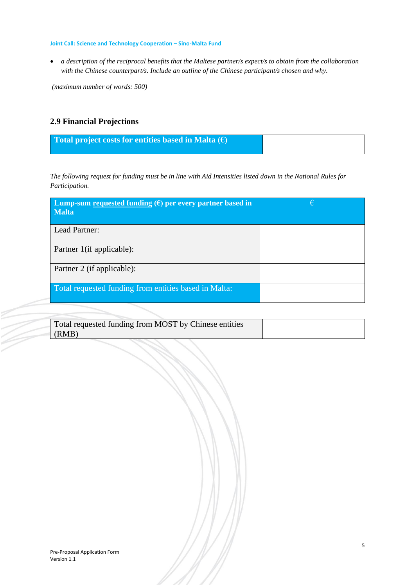• *a description of the reciprocal benefits that the Maltese partner/s expect/s to obtain from the collaboration with the Chinese counterpart/s. Include an outline of the Chinese participant/s chosen and why.*

*(maximum number of words: 500)*

## **2.9 Financial Projections**

**Total project costs for entities based in Malta (€)**

*The following request for funding must be in line with Aid Intensities listed down in the National Rules for Participation.* 

| Lump-sum requested funding $(\epsilon)$ per every partner based in<br><b>Malta</b> | € |
|------------------------------------------------------------------------------------|---|
| Lead Partner:                                                                      |   |
| Partner 1(if applicable):                                                          |   |
| Partner 2 (if applicable):                                                         |   |
| Total requested funding from entities based in Malta:                              |   |

| Total requested funding from MOST by Chinese entities |  |
|-------------------------------------------------------|--|
| $\parallel$ (RMB)                                     |  |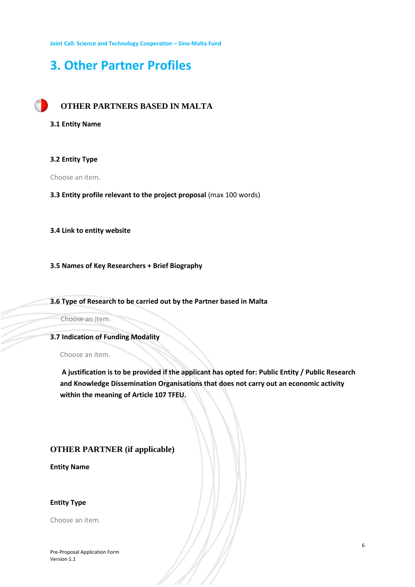# **3. Other Partner Profiles**

**OTHER PARTNERS BASED IN MALTA**

**3.1 Entity Name**

**3.2 Entity Type**

Choose an item.

**3.3 Entity profile relevant to the project proposal** (max 100 words)

**3.4 Link to entity website** 

**3.5 Names of Key Researchers + Brief Biography**

**3.6 Type of Research to be carried out by the Partner based in Malta**

Choose an item.

**3.7 Indication of Funding Modality** 

Choose an item.

**A justification is to be provided if the applicant has opted for: Public Entity / Public Research and Knowledge Dissemination Organisations that does not carry out an economic activity within the meaning of Article 107 TFEU.**

## **OTHER PARTNER (if applicable)**

**Entity Name**

#### **Entity Type**

Choose an item.

Pre-Proposal Application Form Version 1.1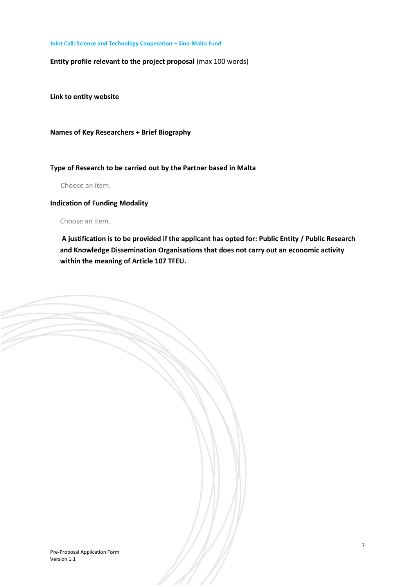**Entity profile relevant to the project proposal** (max 100 words)

**Link to entity website** 

**Names of Key Researchers + Brief Biography**

### **Type of Research to be carried out by the Partner based in Malta**

Choose an item.

**Indication of Funding Modality** 

Choose an item.

**A justification is to be provided if the applicant has opted for: Public Entity / Public Research and Knowledge Dissemination Organisations that does not carry out an economic activity within the meaning of Article 107 TFEU.**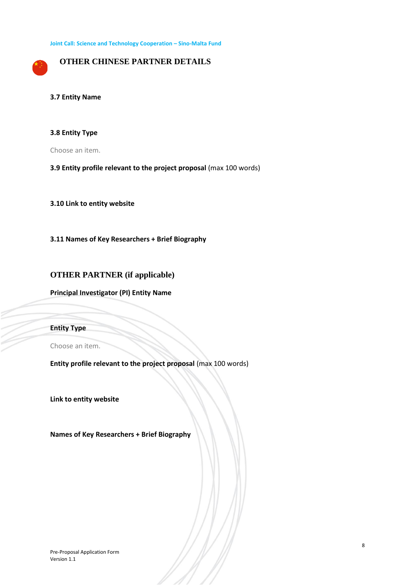## **OTHER CHINESE PARTNER DETAILS**

**3.7 Entity Name**

#### **3.8 Entity Type**

Choose an item.

**3.9 Entity profile relevant to the project proposal** (max 100 words)

**3.10 Link to entity website** 

**3.11 Names of Key Researchers + Brief Biography**

### **OTHER PARTNER (if applicable)**

**Principal Investigator (PI) Entity Name**

**Entity Type**

Choose an item.

**Entity profile relevant to the project proposal** (max 100 words)

**Link to entity website** 

**Names of Key Researchers + Brief Biography**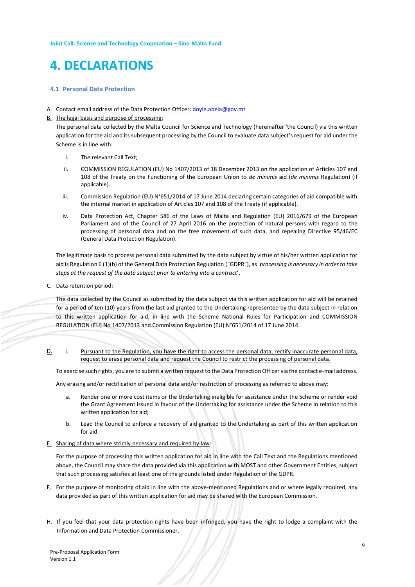# **4. DECLARATIONS**

#### **4.1 Personal Data Protection**

#### A. Contact email address of the Data Protection Officer: [doyle.abela@gov.mt](mailto:doyle.abela@gov.mt)

#### B. The legal basis and purpose of processing:

The personal data collected by the Malta Council for Science and Technology (hereinafter 'the Council) via this written application for the aid and its subsequent processing by the Council to evaluate data subject's request for aid under the Scheme is in line with:

- i. The relevant Call Text;
- ii. COMMISSION REGULATION (EU) No 1407/2013 of 18 December 2013 on the application of Articles 107 and 108 of the Treaty on the Functioning of the European Union to *de minimis* aid (*de minimis* Regulation) (if applicable).
- iii. Commission Regulation (EU) N°651/2014 of 17 June 2014 declaring certain categories of aid compatible with the internal market in application of Articles 107 and 108 of the Treaty (if applicable).
- iv. Data Protection Act, Chapter 586 of the Laws of Malta and Regulation (EU) 2016/679 of the European Parliament and of the Council of 27 April 2016 on the protection of natural persons with regard to the processing of personal data and on the free movement of such data, and repealing Directive 95/46/EC (General Data Protection Regulation).

The legitimate basis to process personal data submitted by the data subject by virtue of his/her written application for aid is Regulation 6 (1)(b) of the General Data Protection Regulation ("GDPR"), as '*processing is necessary in order to take steps at the request of the data subject prior to entering into a contract*'.

C. Data retention period:

The data collected by the Council as submitted by the data subject via this written application for aid will be retained for a period of ten (10) years from the last aid granted to the Undertaking represented by the data subject in relation to this written application for aid, in line with the Scheme National Rules for Participation and COMMISSION REGULATION (EU) No 1407/2013 and Commission Regulation (EU) N°651/2014 of 17 June 2014.

D. i. Pursuant to the Regulation, you have the right to access the personal data, rectify inaccurate personal data, request to erase personal data and request the Council to restrict the processing of personal data.

To exercise such rights, you are to submit a written request to the Data Protection Officer via the contact e-mail address.

Any erasing and/or rectification of personal data and/or restriction of processing as referred to above may:

- Render one or more cost items or the Undertaking ineligible for assistance under the Scheme or render void the Grant Agreement issued in favour of the Undertaking for assistance under the Scheme in relation to this written application for aid;
- b. Lead the Council to enforce a recovery of aid granted to the Undertaking as part of this written application for aid.
- E. Sharing of data where strictly necessary and required by law:

For the purpose of processing this written application for aid in line with the Call Text and the Regulations mentioned above, the Council may share the data provided via this application with MOST and other Government Entities, subject that such processing satisfies at least one of the grounds listed under Regulation of the GDPR.

- F. For the purpose of monitoring of aid in line with the above-mentioned Regulations and or where legally required, any data provided as part of this written application for aid may be shared with the European Commission.
- H. If you feel that your data protection rights have been infringed, you have the right to lodge a complaint with the Information and Data Protection Commissioner.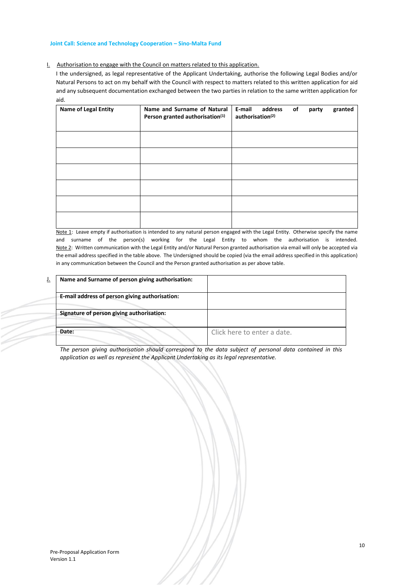#### I. Authorisation to engage with the Council on matters related to this application.

I the undersigned, as legal representative of the Applicant Undertaking, authorise the following Legal Bodies and/or Natural Persons to act on my behalf with the Council with respect to matters related to this written application for aid and any subsequent documentation exchanged between the two parties in relation to the same written application for aid.

| Name of Legal Entity | Name and Surname of Natural<br>Person granted authorisation(1) | E-mail<br>address<br>of<br>granted<br>party<br>authorisation <sup>(2)</sup> |
|----------------------|----------------------------------------------------------------|-----------------------------------------------------------------------------|
|                      |                                                                |                                                                             |
|                      |                                                                |                                                                             |
|                      |                                                                |                                                                             |
|                      |                                                                |                                                                             |
|                      |                                                                |                                                                             |
|                      |                                                                |                                                                             |

Note 1: Leave empty if authorisation is intended to any natural person engaged with the Legal Entity. Otherwise specify the name and surname of the person(s) working for the Legal Entity to whom the authorisation is intended. Note 2: Written communication with the Legal Entity and/or Natural Person granted authorisation via email will only be accepted via the email address specified in the table above. The Undersigned should be copied (via the email address specified in this application) in any communication between the Council and the Person granted authorisation as per above table.

| J. | Name and Surname of person giving authorisation: |                             |
|----|--------------------------------------------------|-----------------------------|
|    | E-mail address of person giving authorisation:   |                             |
|    | Signature of person giving authorisation:        |                             |
|    | Date:                                            | Click here to enter a date. |

*The person giving authorisation should correspond to the data subject of personal data contained in this application as well as represent the Applicant Undertaking as its legal representative.*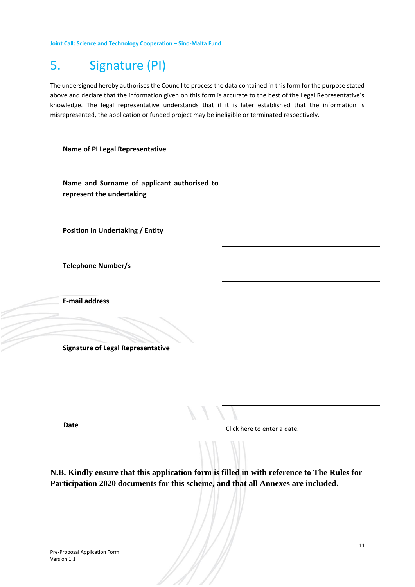# 5. Signature (PI)

The undersigned hereby authorises the Council to process the data contained in this form for the purpose stated above and declare that the information given on this form is accurate to the best of the Legal Representative's knowledge. The legal representative understands that if it is later established that the information is misrepresented, the application or funded project may be ineligible or terminated respectively.

| Name of PI Legal Representative                                          |                             |
|--------------------------------------------------------------------------|-----------------------------|
| Name and Surname of applicant authorised to<br>represent the undertaking |                             |
| <b>Position in Undertaking / Entity</b>                                  |                             |
| <b>Telephone Number/s</b>                                                |                             |
| <b>E-mail address</b>                                                    |                             |
| <b>Signature of Legal Representative</b>                                 |                             |
| <b>Date</b><br>1.1.1                                                     | Click here to enter a date. |

**N.B. Kindly ensure that this application form is filled in with reference to The Rules for Participation 2020 documents for this scheme, and that all Annexes are included.**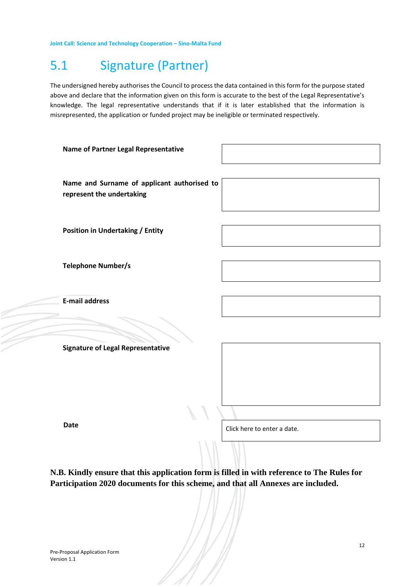# 5.1 Signature (Partner)

The undersigned hereby authorises the Council to process the data contained in this form for the purpose stated above and declare that the information given on this form is accurate to the best of the Legal Representative's knowledge. The legal representative understands that if it is later established that the information is misrepresented, the application or funded project may be ineligible or terminated respectively.

| Name of Partner Legal Representative                                     |                             |
|--------------------------------------------------------------------------|-----------------------------|
| Name and Surname of applicant authorised to<br>represent the undertaking |                             |
| <b>Position in Undertaking / Entity</b>                                  |                             |
| <b>Telephone Number/s</b>                                                |                             |
| <b>E-mail address</b>                                                    |                             |
| <b>Signature of Legal Representative</b>                                 |                             |
| <b>Date</b><br>n                                                         | Click here to enter a date. |

**N.B. Kindly ensure that this application form is filled in with reference to The Rules for Participation 2020 documents for this scheme, and that all Annexes are included.**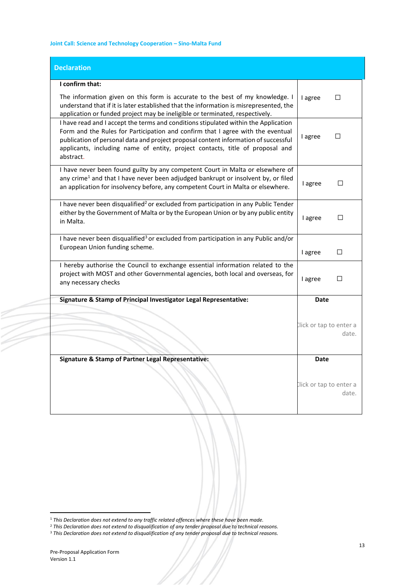| <b>Declaration</b>                                                                                                                                                                                                                                                                                                                                          |                                  |
|-------------------------------------------------------------------------------------------------------------------------------------------------------------------------------------------------------------------------------------------------------------------------------------------------------------------------------------------------------------|----------------------------------|
| I confirm that:                                                                                                                                                                                                                                                                                                                                             |                                  |
| The information given on this form is accurate to the best of my knowledge. I<br>understand that if it is later established that the information is misrepresented, the<br>application or funded project may be ineligible or terminated, respectively.                                                                                                     | □<br>I agree                     |
| I have read and I accept the terms and conditions stipulated within the Application<br>Form and the Rules for Participation and confirm that I agree with the eventual<br>publication of personal data and project proposal content information of successful<br>applicants, including name of entity, project contacts, title of proposal and<br>abstract. | □<br>I agree                     |
| I have never been found guilty by any competent Court in Malta or elsewhere of<br>any crime <sup>1</sup> and that I have never been adjudged bankrupt or insolvent by, or filed<br>an application for insolvency before, any competent Court in Malta or elsewhere.                                                                                         | П<br>I agree                     |
| I have never been disqualified <sup>2</sup> or excluded from participation in any Public Tender<br>either by the Government of Malta or by the European Union or by any public entity<br>in Malta.                                                                                                                                                          | I agree<br>П                     |
| I have never been disqualified <sup>3</sup> or excluded from participation in any Public and/or<br>European Union funding scheme.                                                                                                                                                                                                                           | П<br>I agree                     |
| I hereby authorise the Council to exchange essential information related to the<br>project with MOST and other Governmental agencies, both local and overseas, for<br>any necessary checks                                                                                                                                                                  | П<br>I agree                     |
| Signature & Stamp of Principal Investigator Legal Representative:                                                                                                                                                                                                                                                                                           | Date                             |
|                                                                                                                                                                                                                                                                                                                                                             | Click or tap to enter a<br>date. |
| <b>Signature &amp; Stamp of Partner Legal Representative:</b>                                                                                                                                                                                                                                                                                               | <b>Date</b>                      |
|                                                                                                                                                                                                                                                                                                                                                             | Click or tap to enter a<br>date. |

<sup>1</sup> *This Declaration does not extend to any traffic related offences where these have been made.*

<sup>2</sup> *This Declaration does not extend to disqualification of any tender proposal due to technical reasons.*

<sup>3</sup> *This Declaration does not extend to disqualification of any tender proposal due to technical reasons.*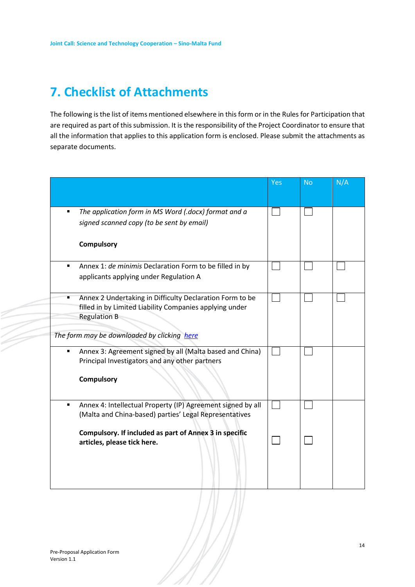# **7. Checklist of Attachments**

The following is the list of items mentioned elsewhere in this form or in the Rules for Participation that are required as part of this submission. It is the responsibility of the Project Coordinator to ensure that all the information that applies to this application form is enclosed. Please submit the attachments as separate documents.

|                                                                                | Yes | <b>No</b> | N/A |
|--------------------------------------------------------------------------------|-----|-----------|-----|
|                                                                                |     |           |     |
| The application form in MS Word (.docx) format and a<br>п                      |     |           |     |
| signed scanned copy (to be sent by email)                                      |     |           |     |
| <b>Compulsory</b>                                                              |     |           |     |
| Annex 1: de minimis Declaration Form to be filled in by                        |     |           |     |
| applicants applying under Regulation A                                         |     |           |     |
| Annex 2 Undertaking in Difficulty Declaration Form to be<br>٠                  |     |           |     |
| filled in by Limited Liability Companies applying under<br><b>Regulation B</b> |     |           |     |
|                                                                                |     |           |     |
| The form may be downloaded by clicking here                                    |     |           |     |
| Annex 3: Agreement signed by all (Malta based and China)<br>٠                  |     |           |     |
| Principal Investigators and any other partners                                 |     |           |     |
| <b>Compulsory</b>                                                              |     |           |     |
| Annex 4: Intellectual Property (IP) Agreement signed by all<br>٠               |     |           |     |
| (Malta and China-based) parties' Legal Representatives                         |     |           |     |
| Compulsory. If included as part of Annex 3 in specific                         |     |           |     |
| articles, please tick here.                                                    |     |           |     |
|                                                                                |     |           |     |
|                                                                                |     |           |     |
|                                                                                |     |           |     |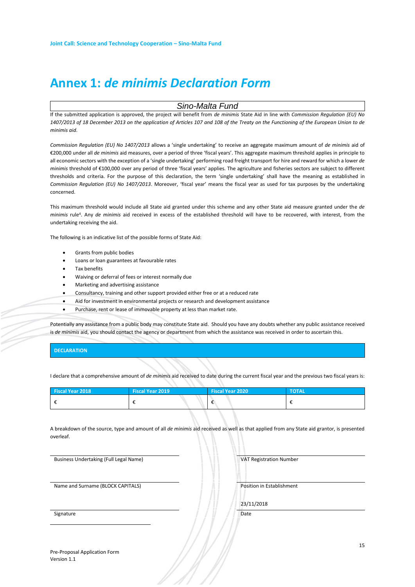# **Annex 1:** *de minimis Declaration Form*

*Sino-Malta Fund*

If the submitted application is approved, the project will benefit from *de minimis* State Aid in line with *Commission Regulation (EU) No 1407/2013 of 18 December 2013 on the application of Articles 107 and 108 of the Treaty on the Functioning of the European Union to de minimis aid*.

*Commission Regulation (EU) No 1407/2013* allows a 'single undertaking' to receive an aggregate maximum amount of *de minimis* aid of €200,000 under all *de minimis* aid measures, over a period of three 'fiscal years'. This aggregate maximum threshold applies in principle to all economic sectors with the exception of a 'single undertaking' performing road freight transport for hire and reward for which a lower *de minimis* threshold of €100,000 over any period of three 'fiscal years' applies. The agriculture and fisheries sectors are subject to different thresholds and criteria. For the purpose of this declaration, the term 'single undertaking' shall have the meaning as established in *Commission Regulation (EU) No 1407/2013*. Moreover, 'fiscal year' means the fiscal year as used for tax purposes by the undertaking concerned.

This maximum threshold would include all State aid granted under this scheme and any other State aid measure granted under the *de*  minimis rule<sup>4</sup>. Any *de minimis* aid received in excess of the established threshold will have to be recovered, with interest, from the undertaking receiving the aid.

The following is an indicative list of the possible forms of State Aid:

- Grants from public bodies
- Loans or loan guarantees at favourable rates
- Tax benefits
- Waiving or deferral of fees or interest normally due
- Marketing and advertising assistance
- Consultancy, training and other support provided either free or at a reduced rate
- Aid for investment in environmental projects or research and development assistance
- Purchase, rent or lease of immovable property at less than market rate.

Potentially any assistance from a public body may constitute State aid. Should you have any doubts whether any public assistance received is *de minimis* aid, you should contact the agency or department from which the assistance was received in order to ascertain this.

#### **DECLARATION**

I declare that a comprehensive amount of *de minimis* aid received to date during the current fiscal year and the previous two fiscal years is:

| <b>Fiscal Year 2018</b> | <b>Fiscal Year 2019</b> | Fiscal Year 2020 | <b>TOTAL</b> |
|-------------------------|-------------------------|------------------|--------------|
|                         |                         |                  |              |

A breakdown of the source, type and amount of all *de minimis* aid received as well as that applied from any State aid grantor, is presented overleaf.

Business Undertaking (Full Legal Name) VAT Registration Number

Name and Surname (BLOCK CAPITALS) **Position in Establishment** 

23/11/2018

Signature Date